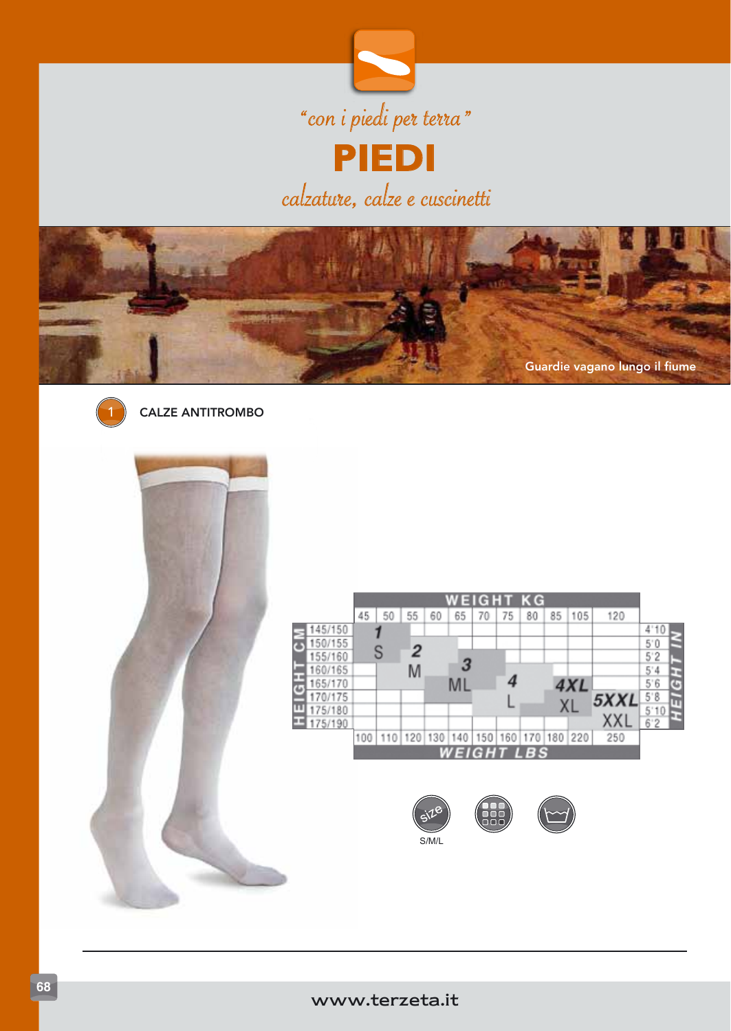





CALZE ANTITROMBO



|         |     |     |     |     |     |     |     | WEIGHT KG  |         |     |      |         |   |
|---------|-----|-----|-----|-----|-----|-----|-----|------------|---------|-----|------|---------|---|
|         | 45  | 50  | 55  | 60  | 65  | 70  | 75  | 80         | 85      | 105 | 120  |         |   |
| 145/150 |     |     |     |     |     |     |     |            |         |     |      | 4<br>10 |   |
| 150/155 |     |     |     |     |     |     |     |            |         |     |      | 5'0     |   |
| 155/160 |     |     | 2   |     |     |     |     |            |         |     |      | 5'2     |   |
| 160/165 |     |     | M   |     | 3   |     |     |            |         |     |      | 5'4     |   |
| 165/170 |     |     |     |     | Ml  |     |     |            |         | 4XL |      | 5'6     | G |
| 170/175 |     |     |     |     |     |     |     |            |         |     | 5XXL | 5.8     |   |
| 175/180 |     |     |     |     |     |     |     |            |         | ΧL  |      | 5       |   |
| 175/190 |     |     |     |     |     |     |     |            |         |     | XXI  | 6'2     |   |
|         | 100 | 110 | 120 | 130 | 140 | 150 | 160 | 170        | 180 220 |     | 250  |         |   |
|         |     |     |     |     |     |     |     | WEIGHT LBS |         |     |      |         |   |
|         |     |     |     |     |     |     |     |            |         |     |      |         |   |



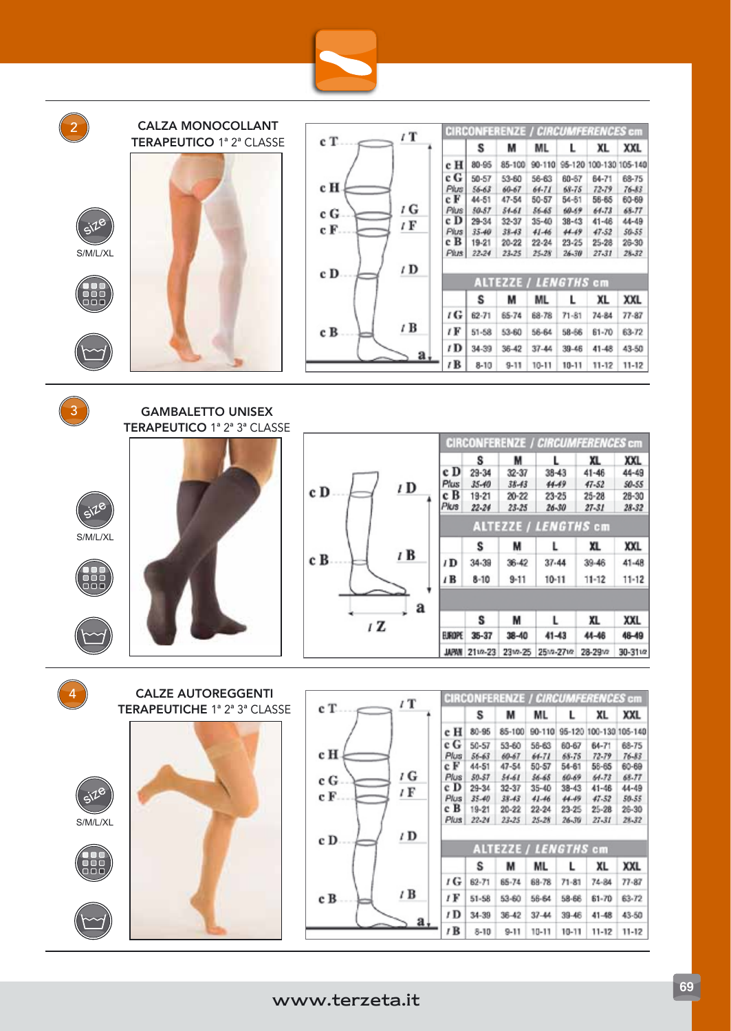

| 2               | <b>CALZA MONOCOLLANT</b><br><b>TERAPEUTICO 1ª 2ª CLASSE</b> |
|-----------------|-------------------------------------------------------------|
|                 |                                                             |
| 518<br>S/M/L/XL |                                                             |
|                 |                                                             |
|                 |                                                             |

| c T. | $\iota$ T       |
|------|-----------------|
| c H  |                 |
| c G  | ı G             |
| c F. | ı F             |
| c D  | / D             |
| c B  | $\sqrt{B}$<br>a |

|                   |           | <b>CIRCONFERENZE / CIRCUMFERENCES cm</b> |            |           |                        |            |
|-------------------|-----------|------------------------------------------|------------|-----------|------------------------|------------|
|                   | s         | м                                        | ML         | L         | XL                     | <b>XXL</b> |
| c H               | $80 - 95$ | 85-100                                   | $90 - 110$ |           | 95-120 100-130 105-140 |            |
| c G               | $50 - 57$ | $53 - 60$                                | 56-63      | 60-67     | 64-71                  | 68-75      |
| Plus              | $56 - 63$ | 60-67                                    | $64 - 71$  | 68-75     | $72 - 79$              | $76 - 83$  |
| e F               | 44-51     | $47 - 54$                                | $50 - 57$  | 54-61     | 56-65                  | 60-69      |
| Plus <sup>1</sup> | 50-57     | $54 - 61$                                | $56 - 65$  | $69 - 59$ | $64 - 73$              | 68.77      |
| c D               | 29-34     | $32 - 37$                                | $35 - 40$  | $38 - 43$ | $41 - 48$              | 44-49      |
| <b>Plus</b>       | $35 - 40$ | $38 - 43$                                | $41 - 46$  | 44.49     | 47.52                  | 50-55      |
| cВ                | 19-21     | $20 - 22$                                | $22 - 24$  | 23-25     | $25 - 28$              | 26-30      |
| <b>Plus</b>       | 22-24     | 23.25                                    | $25 - 28$  | $26 - 30$ | 27-31                  | $28 - 32$  |
|                   |           | <b>ALTEZZE / LENGTHS cm</b>              |            |           |                        |            |
|                   | s         | м                                        | ML         | L         | XL                     | XXL        |
| ı G               | $62 - 71$ | 65-74                                    | 68-78      | $71 - 81$ | $74 - 84$              | $77 - 87$  |
| 1 F               | $51 - 58$ | 53-60                                    | 56-64      | 58-66     | $61 - 70$              | 63-72      |
| 1D                | 34-39     | 36-42                                    | $37 - 44$  | $39 - 46$ | $41 - 48$              | 43-50      |
| $t\mathbf{R}$     | $8 - 10$  | $9 - 11$                                 | $10 - 11$  | $10 - 11$ | $11 - 12$              | $11 - 12$  |

 $\left(3\right)$ 

GAMBALETTO UNISEX TERAPEUTICO 1ª 2ª 3ª CLASSE

CALZE AUTOREGGENTI TERAPEUTICHE 1ª 2ª 3ª CLASSE





|   | <b>CIRCONFERENZE / CIRCUMFERENCES cm</b> |           |           |                             |           |            |  |  |  |  |
|---|------------------------------------------|-----------|-----------|-----------------------------|-----------|------------|--|--|--|--|
|   |                                          | s         | м         | L                           | XL        | <b>XXL</b> |  |  |  |  |
|   | e D                                      | $29 - 34$ | $32 - 37$ | $38 - 43$                   | $41 - 46$ | 44-49      |  |  |  |  |
| ١ | Plus                                     | $35 - 40$ | $38 - 43$ | 44.49                       | $47 - 52$ | 50-55      |  |  |  |  |
|   | c B                                      | $19 - 21$ | $20 - 22$ | $23 - 25$                   | $25 - 28$ | $28 - 30$  |  |  |  |  |
|   | Plus                                     | $22 - 24$ | $23 - 25$ | $26 - 30$                   | $27 - 31$ | $28 - 32$  |  |  |  |  |
|   |                                          |           |           | <b>ALTEZZE / LENGTHS cm</b> |           |            |  |  |  |  |
|   |                                          | S         | M         | L                           | XL        | <b>XXL</b> |  |  |  |  |
|   | ID                                       | 34-39     | 36-42     | $37 - 44$                   | 39-46     | $41 - 48$  |  |  |  |  |
|   | $\overline{I}$ <b>B</b>                  | $8 - 10$  | $9 - 11$  | $10 - 11$                   | $11 - 12$ | $11 - 12$  |  |  |  |  |
| a |                                          |           |           |                             |           |            |  |  |  |  |
|   |                                          | s         | M         |                             | XL        | XXL        |  |  |  |  |
|   | EUROPE                                   | $35 - 37$ | 38-40     | $41 - 43$                   | 44-46     | 48-49      |  |  |  |  |
|   | <b>MPAN</b>                              | 2112-23   | 231/2-25  | 251/2-271/2                 | 28-29M    | 30-3112    |  |  |  |  |





S/M/L/XL







|      |           | <b>CIRCONFERENZE / CIRCUMFERENCES cm</b> |           |            |                 |            |
|------|-----------|------------------------------------------|-----------|------------|-----------------|------------|
|      | S         | м                                        | ML        | L          | XL              | <b>XXL</b> |
| e H  | 80-95     | 85-100                                   | 90-110    | $95 - 120$ | 100-130 105-140 |            |
| c G  | 50-57     | $53 - 60$                                | 56-63     | 60-67      | $64 - 71$       | 68-75      |
| Plus | 56-63     | 60-67                                    | 64-71     | 68-75      | 72.79           | $76 - 83$  |
| e F  | 44-51     | 47-54                                    | $50 - 57$ | $54 - 61$  | $56 - 65$       | 60-69      |
| Plus | 50.57     | $34 - 61$                                | $36 - 65$ | 60-69      | 64.73           | 68.77      |
| c D  | 29-34     | 32-37                                    | $35 - 40$ | $38 - 43$  | $41 - 48$       | 44-49      |
| Plus | $35 - 40$ | $38 - 43$                                | $41 - 46$ | 44.49      | 47.52           | 50-55      |
| cВ   | 19-21     | $20 - 22$                                | $22 - 24$ | 23-25      | $25 - 28$       | $26-30$    |
| Plus | 22-24     | 23-25                                    | $25 - 28$ | $26 - 30$  | 27-31           | 28.32      |
|      |           | <b>ALTEZZE / LENGTHS cm</b>              |           |            |                 |            |
|      | s         | м                                        | ML        | L          | XL              | <b>XXL</b> |
| t G  | 62-71     | 65-74                                    | 68-78     | $71 - 81$  | $74 - 84$       | $77 - 87$  |
| 1 F  | $51 - 58$ | $53 - 60$                                | 56-64     | 58-66      | $61 - 70$       | 63-72      |
| 1D   | 34-39     | $36 - 42$                                | $37 - 44$ | $39 - 48$  | $41 - 48$       | 43-50      |
| 1B   | $8 - 10$  | $9-11$                                   | $10 - 11$ | $10 - 11$  | 11-12           | $11 - 12$  |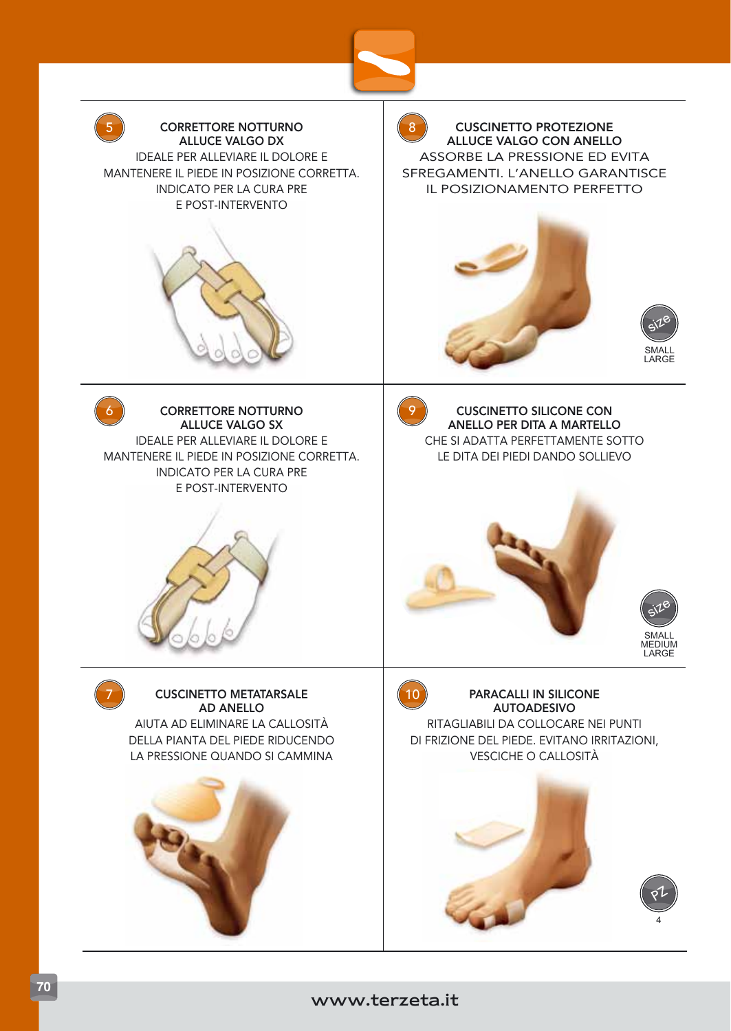

## www.terzeta.it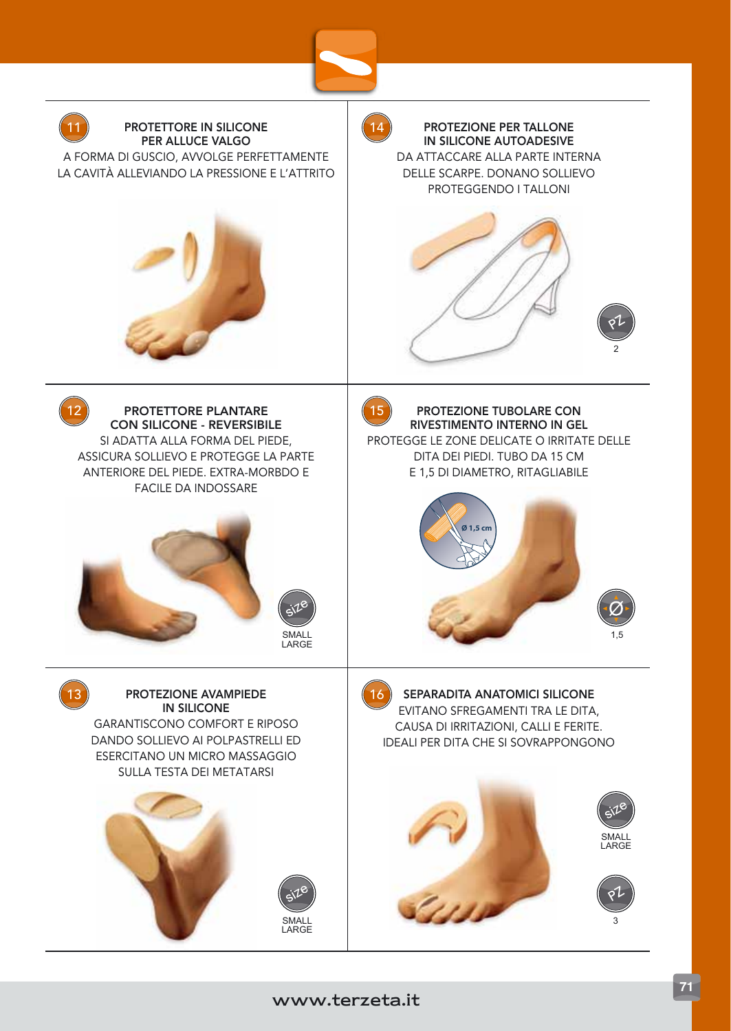

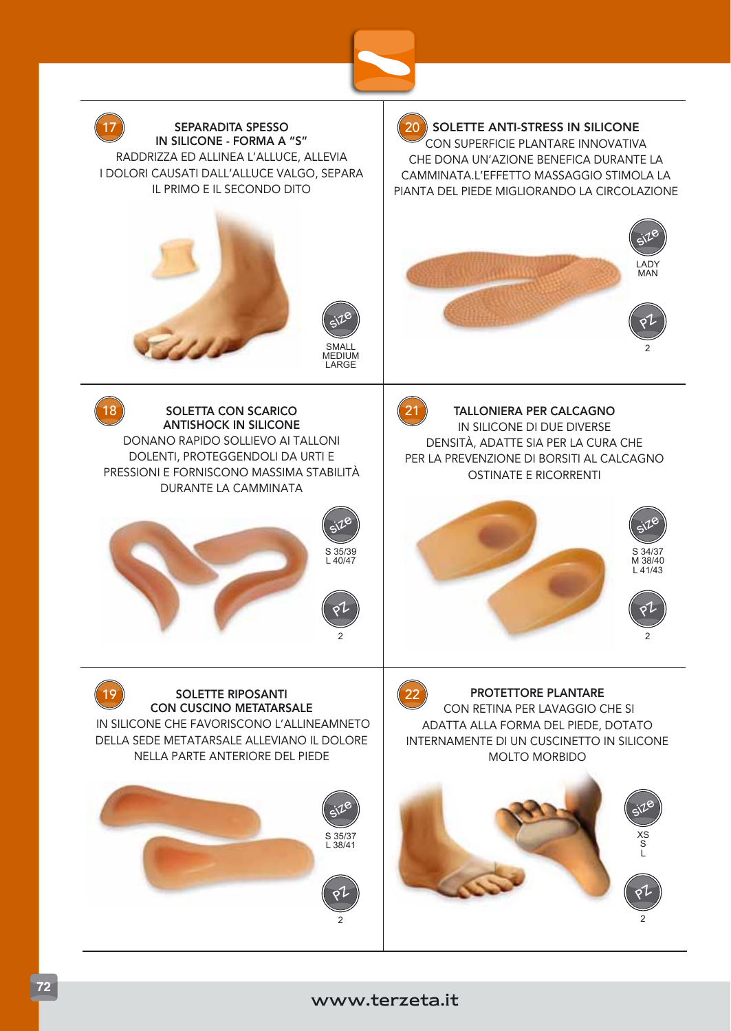



## www.terzeta.it